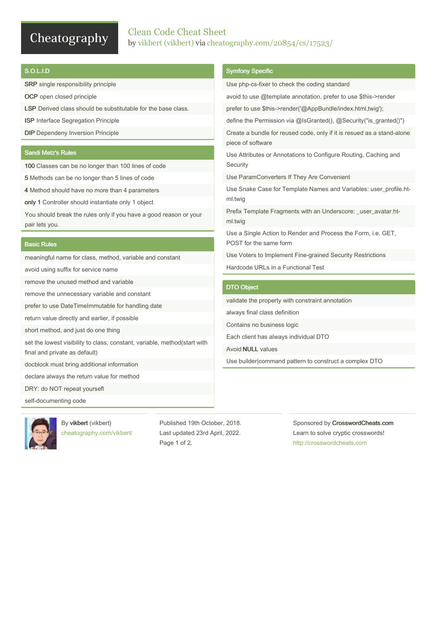# Cheatography

# Clean Code Cheat Sheet by vikbert [\(vikbert\)](http://www.cheatography.com/vikbert/) via [cheatography.com/20854/cs/17523/](http://www.cheatography.com/vikbert/cheat-sheets/clean-code)

### S.O.L.I.D

SRP single responsibility principle

OCP open closed principle

LSP Derived class should be substitutable for the base class.

ISP Interface Segregation Principle

DIP Dependeny Inversion Principle

### Sandi Metz's Rules

100 Classes can be no longer than 100 lines of code

5 Methods can be no longer than 5 lines of code

4 Method should have no more than 4 parameters

only 1 Controller should instantiate only 1 object

You should break the rules only if you have a good reason or your pair lets you.

#### Basic Rules

meaningful name for class, method, variable and constant

avoid using suffix for service name

remove the unused method and variable

remove the unnecessary variable and constant

prefer to use DateTimeImmutable for handling date

return value directly and earlier, if possible

short method, and just do one thing

set the lowest visibility to class, constant, variable, method(start with final and private as default)

docblock must bring additional information

declare always the return value for method

By vikbert (vikbert)

DRY: do NOT repeat yoursefl

self-documenting code



[cheatography.com/vikbert/](http://www.cheatography.com/vikbert/) Published 19th October, 2018. Last updated 23rd April, 2022. Page 1 of 2.

#### Symfony Specific

Use php-cs-fixer to check the coding standard avoid to use @template annotation, prefer to use \$this->render prefer to use \$this->render('@AppBundle/index.html,twig'); define the Permission via @IsGranted(), @Security("is\_granted()") Create a bundle for reused code, only if it is resued as a stand-alone piece of software Use Attributes or Annotations to Configure Routing, Caching and **Security** Use ParamConverters If They Are Convenient Use Snake Case for Template Names and Variables: user\_profile.ht‐ ml.twig Prefix Template Fragments with an Underscore: \_user\_avatar.html.twig Use a Single Action to Render and Process the Form, i.e. GET, POST for the same form Use Voters to Implement Fine-grained Security Restrictions Hardcode URLs in a Functional Test DTO Object validate the property with constraint annotation always final class definition Contains no business logic Each client has always individual DTO Avoid NULL values

Use builder|command pattern to construct a complex DTO

Sponsored by CrosswordCheats.com Learn to solve cryptic crosswords! <http://crosswordcheats.com>